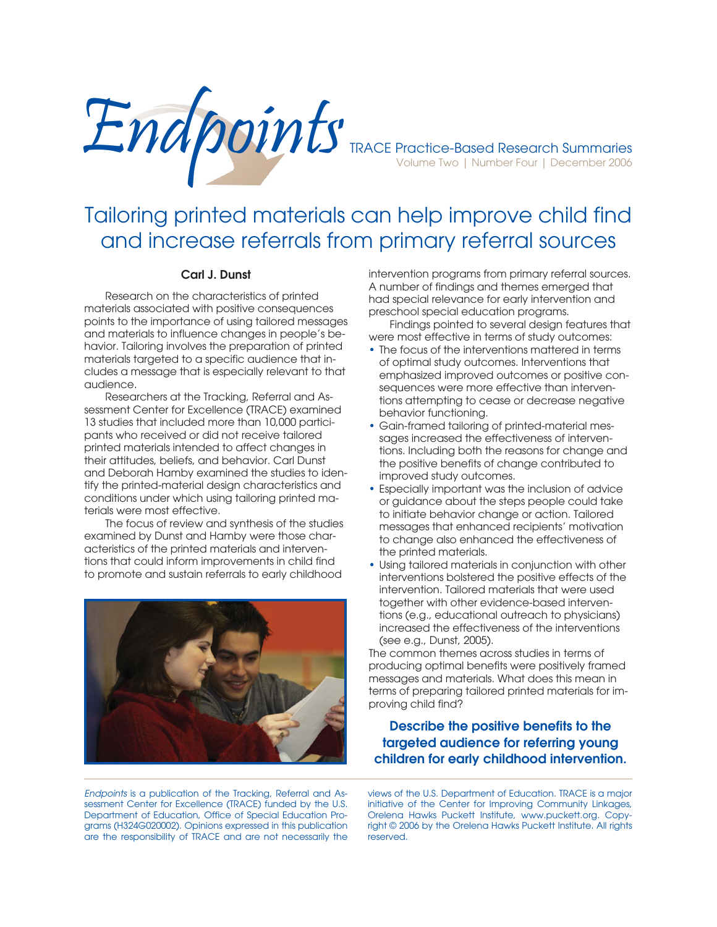

# Tailoring printed materials can help improve child find and increase referrals from primary referral sources

## **Carl J. Dunst**

Research on the characteristics of printed materials associated with positive consequences points to the importance of using tailored messages and materials to influence changes in people's behavior. Tailoring involves the preparation of printed materials targeted to a specific audience that includes a message that is especially relevant to that audience.

 Researchers at the Tracking, Referral and Assessment Center for Excellence (TRACE) examined 13 studies that included more than 10,000 participants who received or did not receive tailored printed materials intended to affect changes in their attitudes, beliefs, and behavior. Carl Dunst and Deborah Hamby examined the studies to identify the printed-material design characteristics and conditions under which using tailoring printed materials were most effective.

 The focus of review and synthesis of the studies examined by Dunst and Hamby were those characteristics of the printed materials and interventions that could inform improvements in child find to promote and sustain referrals to early childhood



intervention programs from primary referral sources. A number of findings and themes emerged that had special relevance for early intervention and preschool special education programs.

 Findings pointed to several design features that were most effective in terms of study outcomes:

- The focus of the interventions mattered in terms of optimal study outcomes. Interventions that emphasized improved outcomes or positive consequences were more effective than interventions attempting to cease or decrease negative behavior functioning.
- Gain-framed tailoring of printed-material messages increased the effectiveness of interventions. Including both the reasons for change and the positive benefits of change contributed to improved study outcomes.
- Especially important was the inclusion of advice or guidance about the steps people could take to initiate behavior change or action. Tailored messages that enhanced recipients' motivation to change also enhanced the effectiveness of the printed materials.
- Using tailored materials in conjunction with other interventions bolstered the positive effects of the intervention. Tailored materials that were used together with other evidence-based interventions (e.g., educational outreach to physicians) increased the effectiveness of the interventions (see e.g., Dunst, 2005).

The common themes across studies in terms of producing optimal benefits were positively framed messages and materials. What does this mean in terms of preparing tailored printed materials for improving child find?

**Describe the positive benefits to the targeted audience for referring young children for early childhood intervention.**

*Endpoints* is a publication of the Tracking, Referral and Assessment Center for Excellence (TRACE) funded by the U.S. Department of Education, Office of Special Education Programs (H324G020002). Opinions expressed in this publication are the responsibility of TRACE and are not necessarily the

views of the U.S. Department of Education. TRACE is a major initiative of the Center for Improving Community Linkages, Orelena Hawks Puckett Institute, www.puckett.org. Copyright © 2006 by the Orelena Hawks Puckett Institute. All rights reserved.